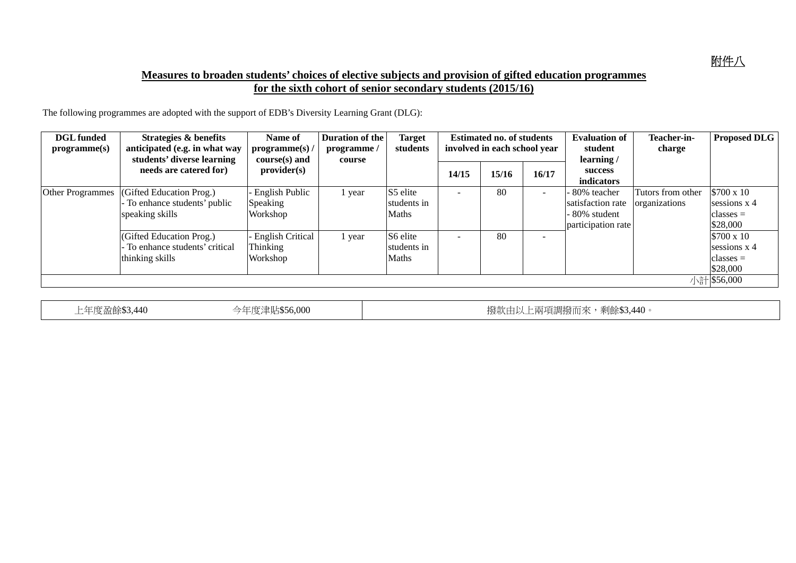## **Measures to broaden students' choices of elective subjects and provision of gifted education programmes for the sixth cohort of senior secondary students (2015/16)**

The following programmes are adopted with the support of EDB's Diversity Learning Grant (DLG):

| <b>DGL</b> funded<br>programme(s) | Strategies & benefits<br>anticipated (e.g. in what way<br>students' diverse learning | Name of<br>programme(s) /<br>$course(s)$ and    | Duration of the<br>programme/<br>course | <b>Target</b><br>students               | <b>Estimated no. of students</b><br>involved in each school year |       |       | <b>Evaluation of</b><br>student<br>learning/                          | Teacher-in-<br>charge              | <b>Proposed DLG</b>                                   |
|-----------------------------------|--------------------------------------------------------------------------------------|-------------------------------------------------|-----------------------------------------|-----------------------------------------|------------------------------------------------------------------|-------|-------|-----------------------------------------------------------------------|------------------------------------|-------------------------------------------------------|
|                                   | needs are catered for)                                                               | provider(s)                                     |                                         |                                         | 14/15                                                            | 15/16 | 16/17 | success<br>indicators                                                 |                                    |                                                       |
| <b>Other Programmes</b>           | (Gifted Education Prog.)<br>To enhance students' public<br>speaking skills           | English Public<br>Speaking<br>Workshop          | l year                                  | S5 elite<br>students in<br><b>Maths</b> |                                                                  | 80    |       | 80% teacher<br>satisfaction rate<br>80% student<br>participation rate | Tutors from other<br>organizations | \$700 x 10<br>sessions x 4<br>$classes =$<br>\$28,000 |
|                                   | (Gifted Education Prog.)<br>To enhance students' critical<br>thinking skills         | <b>English Critical</b><br>Thinking<br>Workshop | vear                                    | S6 elite<br>students in<br><b>Maths</b> | $\overline{\phantom{0}}$                                         | 80    |       |                                                                       |                                    | \$700 x 10<br>sessions x 4<br>$classes =$<br>\$28,000 |
|                                   |                                                                                      |                                                 |                                         |                                         |                                                                  |       |       |                                                                       |                                    | 小計 \$56,000                                           |

上年度盈餘\$3,440 今年度津貼\$56,000 撥款由以上兩項調撥而來,剩餘\$3,440。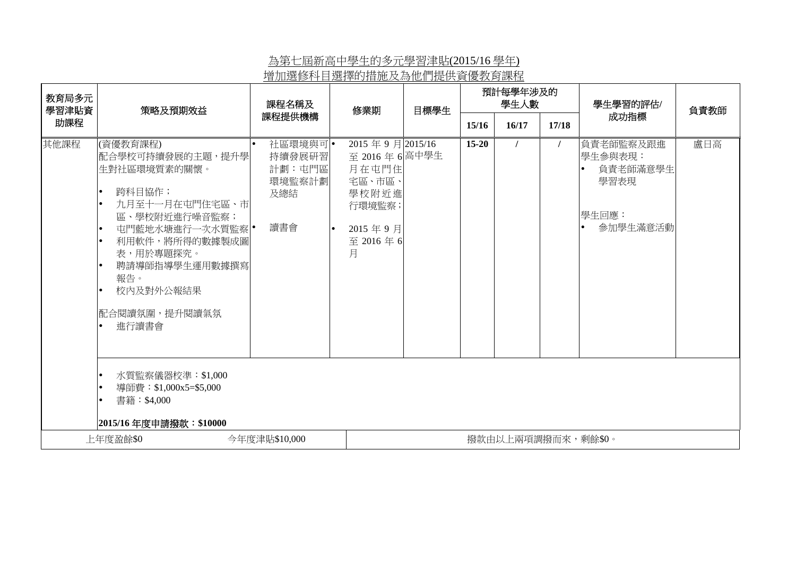## 為第七屆新高中學生的多元學習津貼(2015/16 學年) 增加選修科目選擇的措施及為他們提供資優教育課程

| 教育局多元<br>學習津貼資 | 策略及預期效益                                                                                                                                                                                                                                                    | 課程名稱及                                                | 修業期                                                                                                           | 目標學生 | 預計每學年涉及的<br>學生人數   |       |       | 學生學習的評估/                                                      | 負責教師 |  |  |
|----------------|------------------------------------------------------------------------------------------------------------------------------------------------------------------------------------------------------------------------------------------------------------|------------------------------------------------------|---------------------------------------------------------------------------------------------------------------|------|--------------------|-------|-------|---------------------------------------------------------------|------|--|--|
| 助課程            |                                                                                                                                                                                                                                                            | 課程提供機構                                               |                                                                                                               |      | 15/16              | 16/17 | 17/18 | 成功指標                                                          |      |  |  |
| 其他課程           | (資優教育課程)<br>配合學校可持續發展的主題,提升學<br>生對社區環境質素的關懷。<br>跨科目協作;<br>九月至十一月在屯門住宅區、市<br>區、學校附近進行噪音監察;<br>屯門藍地水塘進行一次水質監察 •<br>利用軟件,將所得的數據製成圖<br>表,用於專題探究。<br>聘請導師指導學生運用數據撰寫<br>報告。<br>校内及對外公報結果<br> 配合閱讀氛圍,提升閱讀氣氛<br>進行讀書會<br>水質監察儀器校準:\$1,000<br>導師費:\$1,000x5=\$5,000 | 社區環境與可 •<br>持續發展研習<br>計劃:屯門區<br>環境監察計劃<br>及總結<br>讀書會 | 2015年9月2015/16<br>至 2016年6高中學生<br>月在屯門住<br>宅區、市區、<br>學校附近進<br>行環境監察;<br>2015年9月<br>$\bullet$<br>至 2016年6<br>月 |      | $15 - 20$          |       |       | 負責老師監察及跟進<br>學生參與表現:<br>負責老師滿意學生<br>學習表現<br>學生回應:<br>參加學生滿意活動 | 盧日高  |  |  |
|                | 書籍:\$4,000<br> 2015/16年度申請撥款:\$10000                                                                                                                                                                                                                       |                                                      |                                                                                                               |      |                    |       |       |                                                               |      |  |  |
|                | 今年度津貼\$10,000<br>上年度盈餘\$0                                                                                                                                                                                                                                  |                                                      |                                                                                                               |      | 撥款由以上兩項調撥而來,剩餘\$0。 |       |       |                                                               |      |  |  |